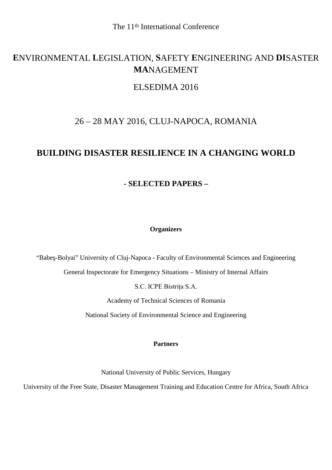# **E**NVIRONMENTAL **L**EGISLATION, **S**AFETY **E**NGINEERING AND **DI**SASTER **MA**NAGEMENT

# ELSEDIMA 2016

# 26 – 28 MAY 2016, CLUJ-NAPOCA, ROMANIA

# **BUILDING DISASTER RESILIENCE IN A CHANGING WORLD**

# **- SELECTED PAPERS –**

## **Organizers**

"Babe -Bolyai" University of Cluj-Napoca - Faculty of Environmental Sciences and Engineering

General Inspectorate for Emergency Situations – Ministry of Internal Affairs

S.C. ICPE Bistrița S.A.

Academy of Technical Sciences of Romania

National Society of Environmental Science and Engineering

#### **Partners**

National University of Public Services, Hungary

University of the Free State, Disaster Management Training and Education Centre for Africa, South Africa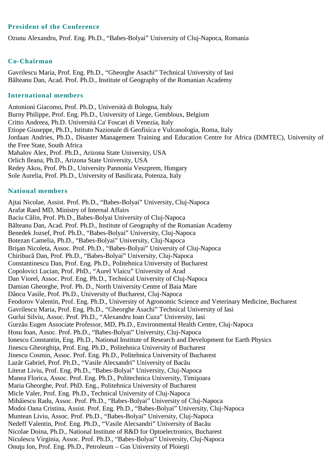## **President of the Conference**

Ozunu Alexandru, Prof. Eng. Ph.D., "Babes-Bolyai" University of Cluj-Napoca, Romania

### **Co-Chairman**

Gavrilescu Maria, Prof. Eng. Ph.D., "Gheorghe Asachi" Technical University of Iasi B Iteanu Dan, Acad. Prof. Ph.D., Institute of Geography of the Romanian Academy

#### **International members**

Antonioni Giacomo, Prof. Ph.D., Università di Bologna, Italy Burny Philippe, Prof. Eng. Ph.D., University of Liege, Gembloux, Belgium Critto Andreea, Ph.D. Università Ca' Foscari di Venezia, Italy Etiope Giuseppe, Ph.D., Istituto Nazionale di Geofisica e Vulcanologia, Roma, Italy Jordaan Andries, Ph.D., Disaster Management Training and Education Centre for Africa (DiMTEC), University of the Free State, South Africa Mahalov Alex, Prof. Ph.D., Arizona State University, USA Orlich Ileana, Ph.D., Arizona State University, USA Redey Akos, Prof. Ph.D., University Pannonia Veszprem, Hungary Sole Aurelia, Prof. Ph.D., University of Basilicata, Potenza, Italy

### **National members**

Ajtai Nicolae, Assist. Prof. Ph.D., "Babes-Bolyai" University, Cluj-Napoca Arafat Raed MD, Ministry of Internal Affairs Baciu C lin, Prof. Ph.D., Babes-Bolyai University of Cluj-Napoca B Iteanu Dan, Acad. Prof. Ph.D., Institute of Geography of the Romanian Academy Benedek Jozsef, Prof. Ph.D., "Babes-Bolyai" University, Cluj-Napoca Botezan Camelia, Ph.D., "Babes-Bolyai" University, Cluj-Napoca Bri an Nicoleta, Assoc. Prof. Ph.D., "Babes-Bolyai" University of Cluj-Napoca Chiribucă Dan, Prof. Ph.D., "Babes-Bolyai" University, Cluj-Napoca Constantinescu Dan, Prof. Eng. Ph.D., Politehnica University of Bucharest Copolovici Lucian, Prof. PhD., "Aurel Vlaicu" University of Arad Dan Viorel, Assoc. Prof. Eng. Ph.D., Technical University of Cluj-Napoca Damian Gheorghe, Prof. Ph. D., North University Centre of Baia Mare Dâncu Vasile, Prof. Ph.D., University of Bucharest, Cluj-Napoca Feodorov Valentin, Prof. Eng. Ph.D., University of Agronomic Science and Veterinary Medicine, Bucharest Gavrilescu Maria, Prof. Eng. Ph.D., "Gheorghe Asachi" Technical University of Iasi Gurlui Silviu, Assoc. Prof. Ph.D., "Alexandru Ioan Cuza" University, Iasi Gurz u Eugen Associate Professor, MD, Ph.D., Environmental Health Centre, Cluj-Napoca Hosu Ioan, Assoc. Prof. Ph.D., "Babes-Bolyai" University, Cluj-Napoca Ionescu Constantin, Eng. Ph.D., National Institute of Research and Development for Earth Physics Jinescu Gheorghi a, Prof. Eng. Ph.D., Politehnica University of Bucharest Jinescu Cosmin, Assoc. Prof. Eng. Ph.D., Politehnica University of Bucharest Laz r Gabriel, Prof. Ph.D., "Vasile Alecsandri" University of Bac u Literat Liviu, Prof. Eng. Ph.D., "Babes-Bolyai" University, Cluj-Napoca Manea Florica, Assoc. Prof. Eng. Ph.D., Politechnica University, Timi oara Maria Gheorghe, Prof. PhD. Eng., Politehnica University of Bucharest Micle Valer, Prof. Eng. Ph.D., Technical University of Cluj-Napoca Mihăiescu Radu, Assoc. Prof. Ph.D., "Babes-Bolyai" University of Cluj-Napoca Modoi Oana Cristina, Assist. Prof. Eng. Ph.D., "Babes-Bolyai" University, Cluj-Napoca Muntean Liviu, Assoc. Prof. Ph.D., "Babes-Bolyai" University, Cluj-Napoca Nedeff Valentin, Prof. Eng. Ph.D., "Vasile Alecsandri" University of Bac u Nicolae Doina, Ph.D., National Institute of R&D for Optoelectronics, Bucharest Niculescu Virginia, Assoc. Prof. Ph.D., "Babes-Bolyai" University, Cluj-Napoca Onu u Ion, Prof. Eng. Ph.D., Petroleum – Gas University of Ploie ti